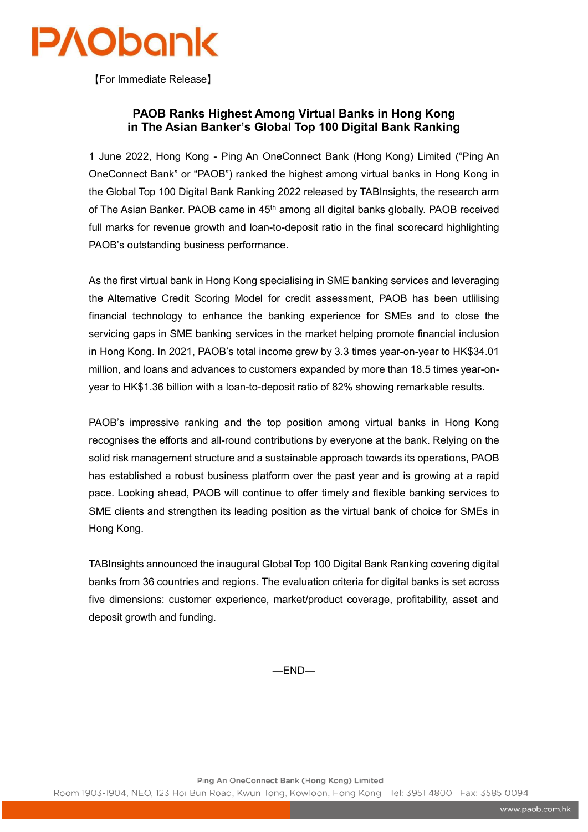

【For Immediate Release】

## **PAOB Ranks Highest Among Virtual Banks in Hong Kong in The Asian Banker's Global Top 100 Digital Bank Ranking**

1 June 2022, Hong Kong - Ping An OneConnect Bank (Hong Kong) Limited ("Ping An OneConnect Bank" or "PAOB") ranked the highest among virtual banks in Hong Kong in the Global Top 100 Digital Bank Ranking 2022 released by TABInsights, the research arm of The Asian Banker. PAOB came in 45<sup>th</sup> among all digital banks globally. PAOB received full marks for revenue growth and loan-to-deposit ratio in the final scorecard highlighting PAOB's outstanding business performance.

As the first virtual bank in Hong Kong specialising in SME banking services and leveraging the Alternative Credit Scoring Model for credit assessment, PAOB has been utlilising financial technology to enhance the banking experience for SMEs and to close the servicing gaps in SME banking services in the market helping promote financial inclusion in Hong Kong. In 2021, PAOB's total income grew by 3.3 times year-on-year to HK\$34.01 million, and loans and advances to customers expanded by more than 18.5 times year-onyear to HK\$1.36 billion with a loan-to-deposit ratio of 82% showing remarkable results.

PAOB's impressive ranking and the top position among virtual banks in Hong Kong recognises the efforts and all-round contributions by everyone at the bank. Relying on the solid risk management structure and a sustainable approach towards its operations, PAOB has established a robust business platform over the past year and is growing at a rapid pace. Looking ahead, PAOB will continue to offer timely and flexible banking services to SME clients and strengthen its leading position as the virtual bank of choice for SMEs in Hong Kong.

TABInsights announced the inaugural Global Top 100 Digital Bank Ranking covering digital banks from 36 countries and regions. The evaluation criteria for digital banks is set across five dimensions: customer experience, market/product coverage, profitability, asset and deposit growth and funding.

—END—

Ping An OneConnect Bank (Hong Kong) Limited

Room 1903-1904, NEO, 123 Hoi Bun Road, Kwun Tong, Kowloon, Hong Kong Tel: 3951 4800 Fax: 3585 0094